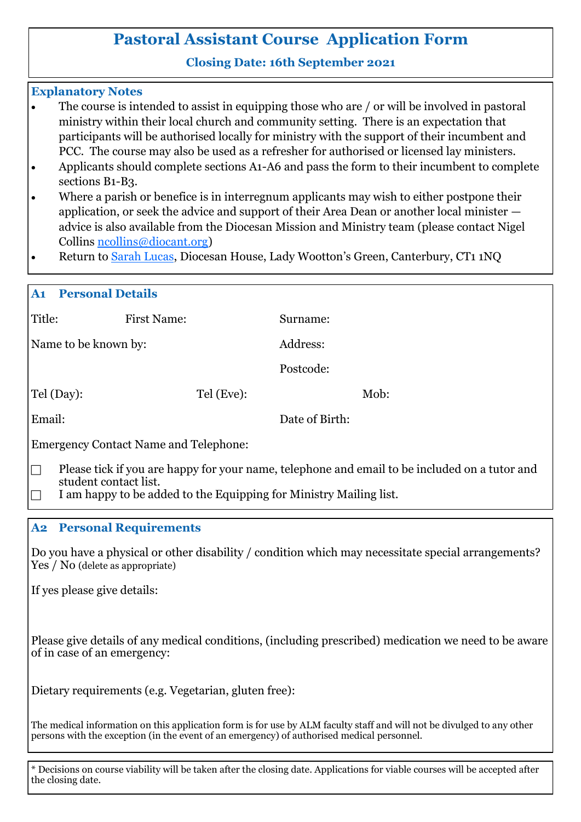# **Pastoral Assistant Course Application Form**

### **Closing Date: 16th September 2021**

#### **Explanatory Notes**

- The course is intended to assist in equipping those who are / or will be involved in pastoral ministry within their local church and community setting. There is an expectation that participants will be authorised locally for ministry with the support of their incumbent and PCC. The course may also be used as a refresher for authorised or licensed lay ministers.
- Applicants should complete sections A1-A6 and pass the form to their incumbent to complete sections B1-B3.
- Where a parish or benefice is in interregnum applicants may wish to either postpone their application, or seek the advice and support of their Area Dean or another local minister advice is also available from the Diocesan Mission and Ministry team (please contact Nigel Collins [ncollins@diocant.org\)](mailto:slucas@diocant.org?subject=Enquiry%20regarding%20Pastoral%20Assistant%20Course)
- Return to [Sarah Lucas,](mailto:slucas@diocant.org?subject=Pastoral%20Assistant%20Course%20Application) Diocesan House, Lady Wootton's Green, Canterbury, CT1 1NQ

| A1<br><b>Personal Details</b>                                                                                                                                                                                |                    |           |                |  |  |
|--------------------------------------------------------------------------------------------------------------------------------------------------------------------------------------------------------------|--------------------|-----------|----------------|--|--|
| Title:                                                                                                                                                                                                       | <b>First Name:</b> | Surname:  |                |  |  |
| Name to be known by:                                                                                                                                                                                         |                    | Address:  |                |  |  |
|                                                                                                                                                                                                              |                    | Postcode: |                |  |  |
| Tel (Day):                                                                                                                                                                                                   | Tel (Eve):         |           | Mob:           |  |  |
| Email:                                                                                                                                                                                                       |                    |           | Date of Birth: |  |  |
| <b>Emergency Contact Name and Telephone:</b>                                                                                                                                                                 |                    |           |                |  |  |
| Please tick if you are happy for your name, telephone and email to be included on a tutor and<br>IN<br>student contact list.<br>I am happy to be added to the Equipping for Ministry Mailing list.<br>$\Box$ |                    |           |                |  |  |

#### **A2 Personal Requirements**

Do you have a physical or other disability / condition which may necessitate special arrangements? Yes / No (delete as appropriate)

If yes please give details:

Please give details of any medical conditions, (including prescribed) medication we need to be aware of in case of an emergency:

Dietary requirements (e.g. Vegetarian, gluten free):

The medical information on this application form is for use by ALM faculty staff and will not be divulged to any other persons with the exception (in the event of an emergency) of authorised medical personnel.

\* Decisions on course viability will be taken after the closing date. Applications for viable courses will be accepted after the closing date.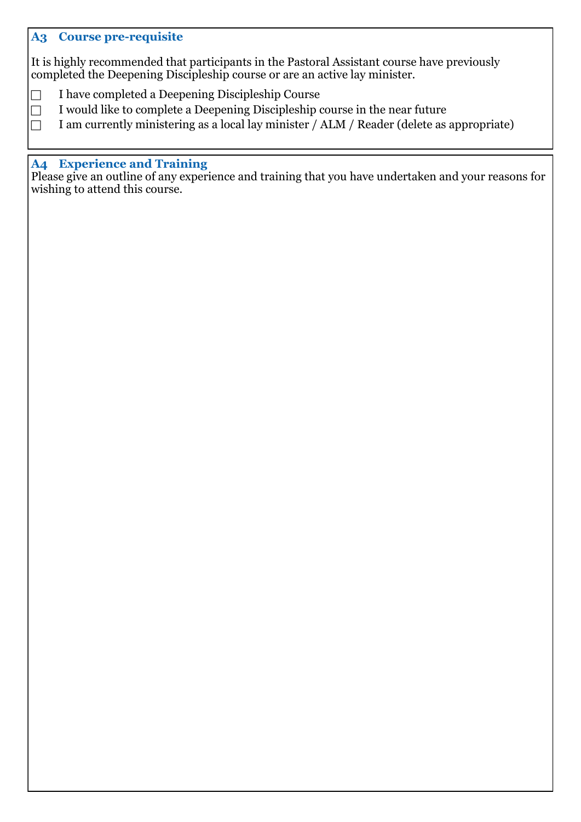### **A3 Course pre-requisite**

It is highly recommended that participants in the Pastoral Assistant course have previously completed the Deepening Discipleship course or are an active lay minister. Ì

- □ I have completed a Deepening Discipleship Course
- $\Box$  I would like to complete a Deepening Discipleship course in the near future
- $\Box$  I am currently ministering as a local lay minister / ALM / Reader (delete as appropriate)

#### **A4 Experience and Training**

Please give an outline of any experience and training that you have undertaken and your reasons for wishing to attend this course.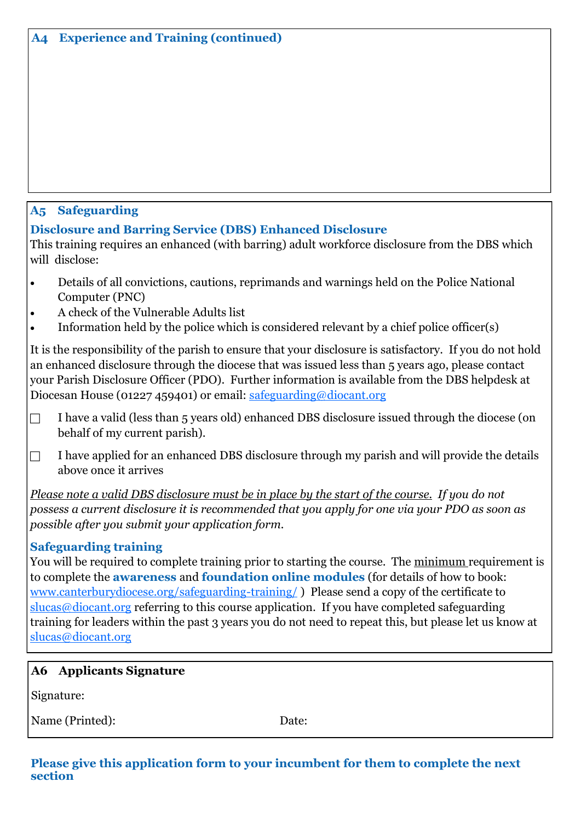# **A5 Safeguarding**

**Disclosure and Barring Service (DBS) Enhanced Disclosure**

This training requires an enhanced (with barring) adult workforce disclosure from the DBS which will disclose:

- Details of all convictions, cautions, reprimands and warnings held on the Police National Computer (PNC)
- A check of the Vulnerable Adults list
- Information held by the police which is considered relevant by a chief police officer(s)

It is the responsibility of the parish to ensure that your disclosure is satisfactory. If you do not hold an enhanced disclosure through the diocese that was issued less than 5 years ago, please contact your Parish Disclosure Officer (PDO). Further information is available from the DBS helpdesk at Diocesan House (01227 459401) or email: [safeguarding@diocant.org](mailto:safeguarding@diocant.org?subject=DBS%20Query%20in%20relation%20to%20Pastoral%20Assistant%20Course)

- $\Box$  I have a valid (less than 5 years old) enhanced DBS disclosure issued through the diocese (on behalf of my current parish).
- $\Box$  I have applied for an enhanced DBS disclosure through my parish and will provide the details above once it arrives

*Please note a valid DBS disclosure must be in place by the start of the course. If you do not possess a current disclosure it is recommended that you apply for one via your PDO as soon as possible after you submit your application form.* 

## **Safeguarding training**

You will be required to complete training prior to starting the course. The minimum requirement is to complete the **awareness** and **foundation online modules** (for details of how to book: [www.canterburydiocese.org/safeguarding](http://www.canterburydiocese.org/safeguarding-training/)-training/ ) Please send a copy of the certificate to  $s$ lucas@diocant.org referring to this course application. If you have completed safeguarding training for leaders within the past 3 years you do not need to repeat this, but please let us know at [slucas@diocant.org](mailto:slucas@diocant.org?subject=Safeguarding%20modules%20in%20relation%20to%20Pastoral%20Assistant%20Course)

## **A6 Applicants Signature**

Signature:

Name (Printed): Date:

#### **Please give this application form to your incumbent for them to complete the next section**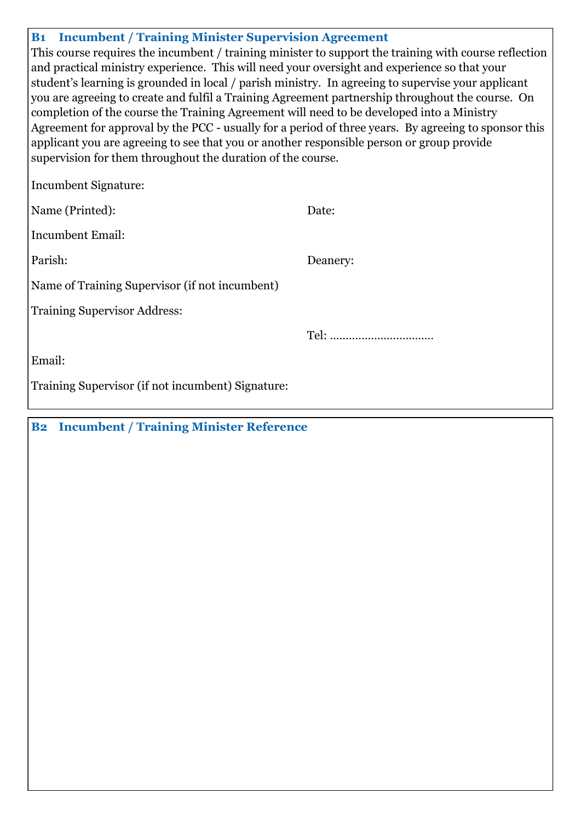| <b>B1</b> Incumbent / Training Minister Supervision Agreement                                         |          |  |  |  |  |
|-------------------------------------------------------------------------------------------------------|----------|--|--|--|--|
| This course requires the incumbent / training minister to support the training with course reflection |          |  |  |  |  |
| and practical ministry experience. This will need your oversight and experience so that your          |          |  |  |  |  |
| student's learning is grounded in local / parish ministry. In agreeing to supervise your applicant    |          |  |  |  |  |
| you are agreeing to create and fulfil a Training Agreement partnership throughout the course. On      |          |  |  |  |  |
| completion of the course the Training Agreement will need to be developed into a Ministry             |          |  |  |  |  |
| Agreement for approval by the PCC - usually for a period of three years. By agreeing to sponsor this  |          |  |  |  |  |
| applicant you are agreeing to see that you or another responsible person or group provide             |          |  |  |  |  |
| supervision for them throughout the duration of the course.                                           |          |  |  |  |  |
| Incumbent Signature:                                                                                  |          |  |  |  |  |
| Name (Printed):                                                                                       | Date:    |  |  |  |  |
| <b>Incumbent Email:</b>                                                                               |          |  |  |  |  |
| Parish:                                                                                               | Deanery: |  |  |  |  |
| Name of Training Supervisor (if not incumbent)                                                        |          |  |  |  |  |
| <b>Training Supervisor Address:</b>                                                                   |          |  |  |  |  |
|                                                                                                       |          |  |  |  |  |
| Email:                                                                                                |          |  |  |  |  |
| Training Supervisor (if not incumbent) Signature:                                                     |          |  |  |  |  |

**B2 Incumbent / Training Minister Reference**